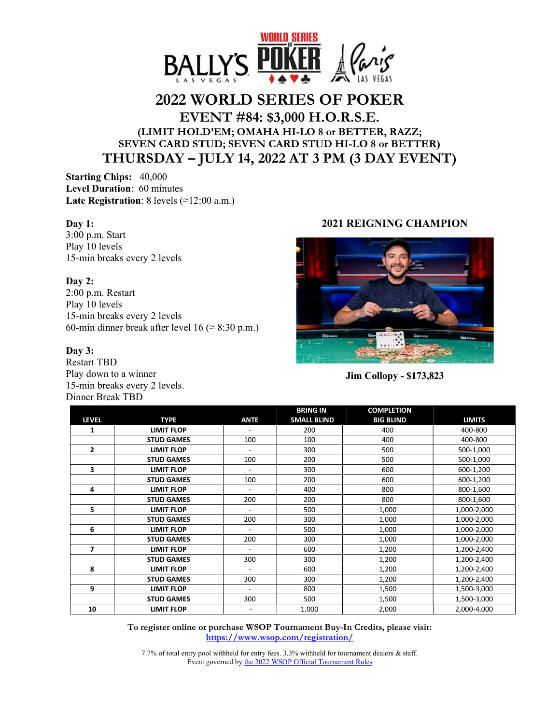

# **2022 WORLD SERIES OF POKER**

## **EVENT #84: \$3,000 H.O.R.S.E. (LIMIT HOLD'EM; OMAHA HI-LO 8 or BETTER, RAZZ; SEVEN CARD STUD; SEVEN CARD STUD HI-LO 8 or BETTER) THURSDAY – JULY 14, 2022 AT 3 PM (3 DAY EVENT)**

**Starting Chips:** 40,000 **Level Duration**: 60 minutes **Late Registration**: 8 levels (≈12:00 a.m.)

#### **Day 1:**

3:00 p.m. Start Play 10 levels 15-min breaks every 2 levels

#### **Day 2:**

2:00 p.m. Restart Play 10 levels 15-min breaks every 2 levels 60-min dinner break after level 16 ( $\approx$  8:30 p.m.)

#### **Day 3:**

Restart TBD Play down to a winner 15-min breaks every 2 levels. Dinner Break TBD

### **2021 REIGNING CHAMPION**



**Jim Collopy - \$173,823** 

|                |                   |                          | <b>BRING IN</b>    | <b>COMPLETION</b> |               |
|----------------|-------------------|--------------------------|--------------------|-------------------|---------------|
| <b>LEVEL</b>   | <b>TYPE</b>       | <b>ANTE</b>              | <b>SMALL BLIND</b> | <b>BIG BLIND</b>  | <b>LIMITS</b> |
| 1              | <b>LIMIT FLOP</b> |                          | 200                | 400               | 400-800       |
|                | <b>STUD GAMES</b> | 100                      | 100                | 400               | 400-800       |
| $\overline{2}$ | <b>LIMIT FLOP</b> | ٠                        | 300                | 500               | 500-1,000     |
|                | <b>STUD GAMES</b> | 100                      | 200                | 500               | 500-1,000     |
| 3              | <b>LIMIT FLOP</b> | -                        | 300                | 600               | 600-1,200     |
|                | <b>STUD GAMES</b> | 100                      | 200                | 600               | 600-1,200     |
| 4              | <b>LIMIT FLOP</b> | ٠                        | 400                | 800               | 800-1,600     |
|                | <b>STUD GAMES</b> | 200                      | 200                | 800               | 800-1,600     |
| 5              | <b>LIMIT FLOP</b> | $\overline{\phantom{0}}$ | 500                | 1,000             | 1,000-2,000   |
|                | <b>STUD GAMES</b> | 200                      | 300                | 1,000             | 1,000-2,000   |
| 6              | <b>LIMIT FLOP</b> | $\overline{\phantom{0}}$ | 500                | 1,000             | 1,000-2,000   |
|                | <b>STUD GAMES</b> | 200                      | 300                | 1,000             | 1,000-2,000   |
| 7              | <b>LIMIT FLOP</b> |                          | 600                | 1,200             | 1,200-2,400   |
|                | <b>STUD GAMES</b> | 300                      | 300                | 1,200             | 1,200-2,400   |
| 8              | <b>LIMIT FLOP</b> | ٠                        | 600                | 1,200             | 1,200-2,400   |
|                | <b>STUD GAMES</b> | 300                      | 300                | 1,200             | 1,200-2,400   |
| 9              | <b>LIMIT FLOP</b> | $\overline{\phantom{0}}$ | 800                | 1,500             | 1,500-3,000   |
|                | <b>STUD GAMES</b> | 300                      | 500                | 1,500             | 1,500-3,000   |
| 10             | <b>LIMIT FLOP</b> |                          | 1,000              | 2,000             | 2,000-4,000   |

**To register online or purchase WSOP Tournament Buy-In Credits, please visit: https://www.wsop.com/registration/**

7.7% of total entry pool withheld for entry fees. 3.3% withheld for tournament dealers & staff. Event governed by the 2022 WSOP Official Tournament Rules